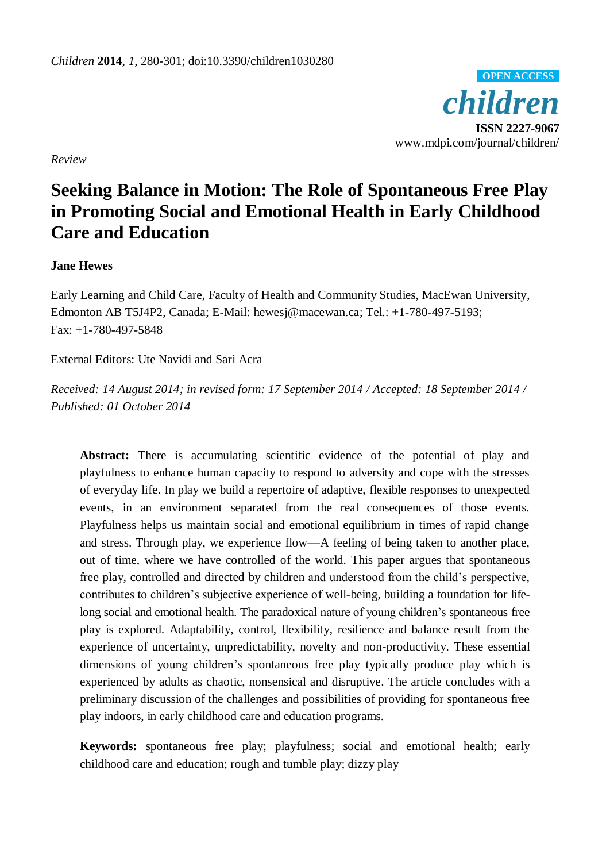

**ISSN 2227-9067** www.mdpi.com/journal/children/

*Review*

# **Seeking Balance in Motion: The Role of Spontaneous Free Play in Promoting Social and Emotional Health in Early Childhood Care and Education**

# **Jane Hewes**

Early Learning and Child Care, Faculty of Health and Community Studies, MacEwan University, Edmonton AB T5J4P2, Canada; E-Mail: hewesj@macewan.ca; Tel.: +1-780-497-5193; Fax: +1-780-497-5848

External Editors: Ute Navidi and Sari Acra

*Received: 14 August 2014; in revised form: 17 September 2014 / Accepted: 18 September 2014 / Published: 01 October 2014*

Abstract: There is accumulating scientific evidence of the potential of play and playfulness to enhance human capacity to respond to adversity and cope with the stresses of everyday life. In play we build a repertoire of adaptive, flexible responses to unexpected events, in an environment separated from the real consequences of those events. Playfulness helps us maintain social and emotional equilibrium in times of rapid change and stress. Through play, we experience flow—A feeling of being taken to another place, out of time, where we have controlled of the world. This paper argues that spontaneous free play, controlled and directed by children and understood from the child's perspective, contributes to children's subjective experience of well-being, building a foundation for lifelong social and emotional health. The paradoxical nature of young children's spontaneous free play is explored. Adaptability, control, flexibility, resilience and balance result from the experience of uncertainty, unpredictability, novelty and non-productivity. These essential dimensions of young children's spontaneous free play typically produce play which is experienced by adults as chaotic, nonsensical and disruptive. The article concludes with a preliminary discussion of the challenges and possibilities of providing for spontaneous free play indoors, in early childhood care and education programs.

**Keywords:** spontaneous free play; playfulness; social and emotional health; early childhood care and education; rough and tumble play; dizzy play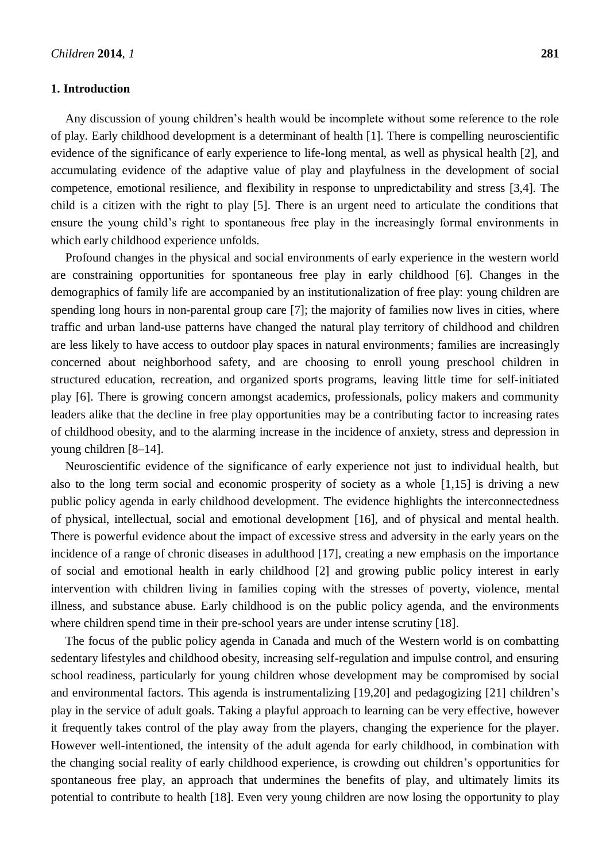# **1. Introduction**

Any discussion of young children's health would be incomplete without some reference to the role of play. Early childhood development is a determinant of health [1]. There is compelling neuroscientific evidence of the significance of early experience to life-long mental, as well as physical health [2], and accumulating evidence of the adaptive value of play and playfulness in the development of social competence, emotional resilience, and flexibility in response to unpredictability and stress [3,4]. The

child is a citizen with the right to play [5]. There is an urgent need to articulate the conditions that ensure the young child's right to spontaneous free play in the increasingly formal environments in which early childhood experience unfolds.

Profound changes in the physical and social environments of early experience in the western world are constraining opportunities for spontaneous free play in early childhood [6]. Changes in the demographics of family life are accompanied by an institutionalization of free play: young children are spending long hours in non-parental group care [7]; the majority of families now lives in cities, where traffic and urban land-use patterns have changed the natural play territory of childhood and children are less likely to have access to outdoor play spaces in natural environments; families are increasingly concerned about neighborhood safety, and are choosing to enroll young preschool children in structured education, recreation, and organized sports programs, leaving little time for self-initiated play [6]. There is growing concern amongst academics, professionals, policy makers and community leaders alike that the decline in free play opportunities may be a contributing factor to increasing rates of childhood obesity, and to the alarming increase in the incidence of anxiety, stress and depression in young children [8–14].

Neuroscientific evidence of the significance of early experience not just to individual health, but also to the long term social and economic prosperity of society as a whole [1,15] is driving a new public policy agenda in early childhood development. The evidence highlights the interconnectedness of physical, intellectual, social and emotional development [16], and of physical and mental health. There is powerful evidence about the impact of excessive stress and adversity in the early years on the incidence of a range of chronic diseases in adulthood [17], creating a new emphasis on the importance of social and emotional health in early childhood [2] and growing public policy interest in early intervention with children living in families coping with the stresses of poverty, violence, mental illness, and substance abuse. Early childhood is on the public policy agenda, and the environments where children spend time in their pre-school years are under intense scrutiny [18].

The focus of the public policy agenda in Canada and much of the Western world is on combatting sedentary lifestyles and childhood obesity, increasing self-regulation and impulse control, and ensuring school readiness, particularly for young children whose development may be compromised by social and environmental factors. This agenda is instrumentalizing [19,20] and pedagogizing [21] children's play in the service of adult goals. Taking a playful approach to learning can be very effective, however it frequently takes control of the play away from the players, changing the experience for the player. However well-intentioned, the intensity of the adult agenda for early childhood, in combination with the changing social reality of early childhood experience, is crowding out children's opportunities for spontaneous free play, an approach that undermines the benefits of play, and ultimately limits its potential to contribute to health [18]. Even very young children are now losing the opportunity to play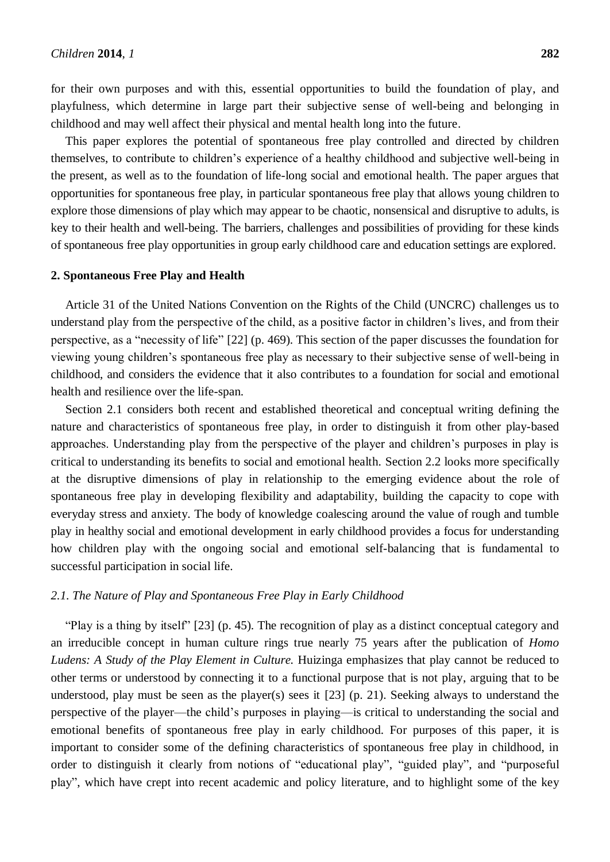for their own purposes and with this, essential opportunities to build the foundation of play, and playfulness, which determine in large part their subjective sense of well-being and belonging in childhood and may well affect their physical and mental health long into the future.

This paper explores the potential of spontaneous free play controlled and directed by children themselves, to contribute to children's experience of a healthy childhood and subjective well-being in the present, as well as to the foundation of life-long social and emotional health. The paper argues that opportunities for spontaneous free play, in particular spontaneous free play that allows young children to explore those dimensions of play which may appear to be chaotic, nonsensical and disruptive to adults, is key to their health and well-being. The barriers, challenges and possibilities of providing for these kinds of spontaneous free play opportunities in group early childhood care and education settings are explored.

#### **2. Spontaneous Free Play and Health**

Article 31 of the United Nations Convention on the Rights of the Child (UNCRC) challenges us to understand play from the perspective of the child, as a positive factor in children's lives, and from their perspective, as a "necessity of life" [22] (p. 469). This section of the paper discusses the foundation for viewing young children's spontaneous free play as necessary to their subjective sense of well-being in childhood, and considers the evidence that it also contributes to a foundation for social and emotional health and resilience over the life-span.

Section 2.1 considers both recent and established theoretical and conceptual writing defining the nature and characteristics of spontaneous free play, in order to distinguish it from other play-based approaches. Understanding play from the perspective of the player and children's purposes in play is critical to understanding its benefits to social and emotional health. Section 2.2 looks more specifically at the disruptive dimensions of play in relationship to the emerging evidence about the role of spontaneous free play in developing flexibility and adaptability, building the capacity to cope with everyday stress and anxiety. The body of knowledge coalescing around the value of rough and tumble play in healthy social and emotional development in early childhood provides a focus for understanding how children play with the ongoing social and emotional self-balancing that is fundamental to successful participation in social life.

#### *2.1. The Nature of Play and Spontaneous Free Play in Early Childhood*

"Play is a thing by itself" [23] (p. 45). The recognition of play as a distinct conceptual category and an irreducible concept in human culture rings true nearly 75 years after the publication of *Homo Ludens: A Study of the Play Element in Culture.* Huizinga emphasizes that play cannot be reduced to other terms or understood by connecting it to a functional purpose that is not play, arguing that to be understood, play must be seen as the player(s) sees it  $[23]$  (p. 21). Seeking always to understand the perspective of the player—the child's purposes in playing—is critical to understanding the social and emotional benefits of spontaneous free play in early childhood. For purposes of this paper, it is important to consider some of the defining characteristics of spontaneous free play in childhood, in order to distinguish it clearly from notions of "educational play", "guided play", and "purposeful play", which have crept into recent academic and policy literature, and to highlight some of the key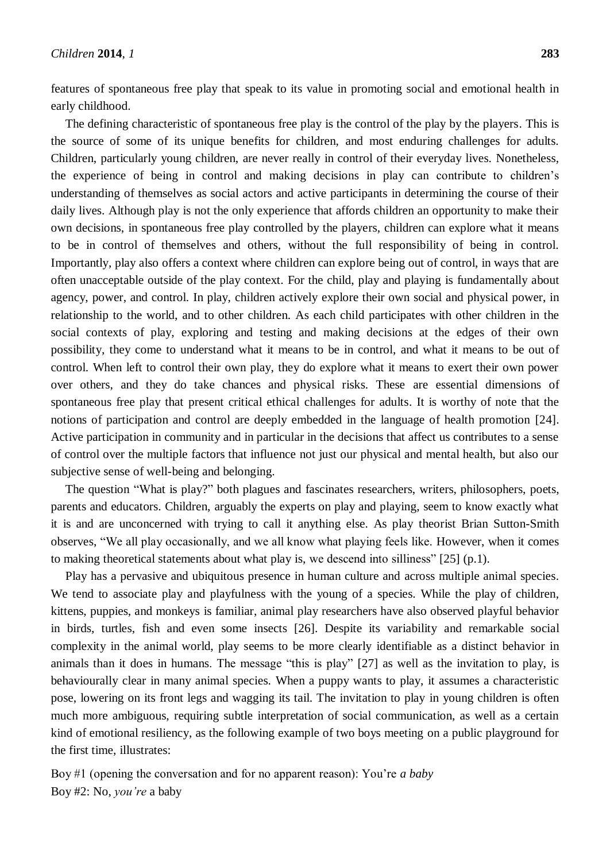features of spontaneous free play that speak to its value in promoting social and emotional health in early childhood.

The defining characteristic of spontaneous free play is the control of the play by the players. This is the source of some of its unique benefits for children, and most enduring challenges for adults. Children, particularly young children, are never really in control of their everyday lives. Nonetheless, the experience of being in control and making decisions in play can contribute to children's understanding of themselves as social actors and active participants in determining the course of their daily lives. Although play is not the only experience that affords children an opportunity to make their own decisions, in spontaneous free play controlled by the players, children can explore what it means to be in control of themselves and others, without the full responsibility of being in control. Importantly, play also offers a context where children can explore being out of control, in ways that are often unacceptable outside of the play context. For the child, play and playing is fundamentally about agency, power, and control. In play, children actively explore their own social and physical power, in relationship to the world, and to other children. As each child participates with other children in the social contexts of play, exploring and testing and making decisions at the edges of their own possibility, they come to understand what it means to be in control, and what it means to be out of control. When left to control their own play, they do explore what it means to exert their own power over others, and they do take chances and physical risks. These are essential dimensions of spontaneous free play that present critical ethical challenges for adults. It is worthy of note that the notions of participation and control are deeply embedded in the language of health promotion [24]. Active participation in community and in particular in the decisions that affect us contributes to a sense of control over the multiple factors that influence not just our physical and mental health, but also our subjective sense of well-being and belonging.

The question "What is play?" both plagues and fascinates researchers, writers, philosophers, poets, parents and educators. Children, arguably the experts on play and playing, seem to know exactly what it is and are unconcerned with trying to call it anything else. As play theorist Brian Sutton-Smith observes, "We all play occasionally, and we all know what playing feels like. However, when it comes to making theoretical statements about what play is, we descend into silliness" [25] (p.1).

Play has a pervasive and ubiquitous presence in human culture and across multiple animal species. We tend to associate play and playfulness with the young of a species. While the play of children, kittens, puppies, and monkeys is familiar, animal play researchers have also observed playful behavior in birds, turtles, fish and even some insects [26]. Despite its variability and remarkable social complexity in the animal world, play seems to be more clearly identifiable as a distinct behavior in animals than it does in humans. The message "this is play" [27] as well as the invitation to play, is behaviourally clear in many animal species. When a puppy wants to play, it assumes a characteristic pose, lowering on its front legs and wagging its tail. The invitation to play in young children is often much more ambiguous, requiring subtle interpretation of social communication, as well as a certain kind of emotional resiliency, as the following example of two boys meeting on a public playground for the first time, illustrates:

Boy #1 (opening the conversation and for no apparent reason): You're *a baby* Boy #2: No, *you're* a baby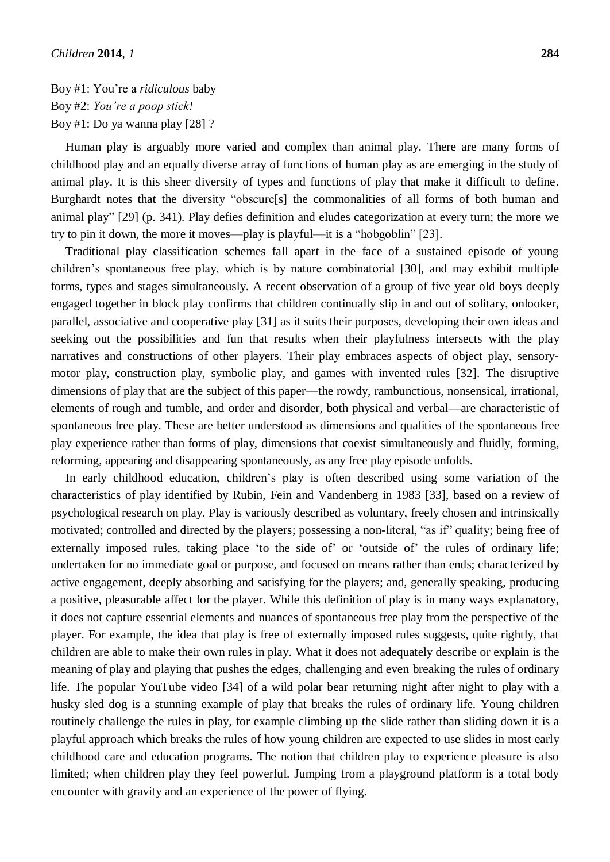Boy #1: You're a *ridiculous* baby Boy #2: *You're a poop stick!* Boy #1: Do ya wanna play [28] ?

Human play is arguably more varied and complex than animal play. There are many forms of childhood play and an equally diverse array of functions of human play as are emerging in the study of animal play. It is this sheer diversity of types and functions of play that make it difficult to define. Burghardt notes that the diversity "obscure[s] the commonalities of all forms of both human and animal play" [29] (p. 341). Play defies definition and eludes categorization at every turn; the more we try to pin it down, the more it moves—play is playful—it is a "hobgoblin" [23].

Traditional play classification schemes fall apart in the face of a sustained episode of young children's spontaneous free play, which is by nature combinatorial [30], and may exhibit multiple forms, types and stages simultaneously. A recent observation of a group of five year old boys deeply engaged together in block play confirms that children continually slip in and out of solitary, onlooker, parallel, associative and cooperative play [31] as it suits their purposes, developing their own ideas and seeking out the possibilities and fun that results when their playfulness intersects with the play narratives and constructions of other players. Their play embraces aspects of object play, sensorymotor play, construction play, symbolic play, and games with invented rules [32]. The disruptive dimensions of play that are the subject of this paper—the rowdy, rambunctious, nonsensical, irrational, elements of rough and tumble, and order and disorder, both physical and verbal—are characteristic of spontaneous free play. These are better understood as dimensions and qualities of the spontaneous free play experience rather than forms of play, dimensions that coexist simultaneously and fluidly, forming, reforming, appearing and disappearing spontaneously, as any free play episode unfolds.

In early childhood education, children's play is often described using some variation of the characteristics of play identified by Rubin, Fein and Vandenberg in 1983 [33], based on a review of psychological research on play. Play is variously described as voluntary, freely chosen and intrinsically motivated; controlled and directed by the players; possessing a non-literal, "as if" quality; being free of externally imposed rules, taking place 'to the side of' or 'outside of' the rules of ordinary life; undertaken for no immediate goal or purpose, and focused on means rather than ends; characterized by active engagement, deeply absorbing and satisfying for the players; and, generally speaking, producing a positive, pleasurable affect for the player. While this definition of play is in many ways explanatory, it does not capture essential elements and nuances of spontaneous free play from the perspective of the player. For example, the idea that play is free of externally imposed rules suggests, quite rightly, that children are able to make their own rules in play. What it does not adequately describe or explain is the meaning of play and playing that pushes the edges, challenging and even breaking the rules of ordinary life. The popular YouTube video [34] of a wild polar bear returning night after night to play with a husky sled dog is a stunning example of play that breaks the rules of ordinary life. Young children routinely challenge the rules in play, for example climbing up the slide rather than sliding down it is a playful approach which breaks the rules of how young children are expected to use slides in most early childhood care and education programs. The notion that children play to experience pleasure is also limited; when children play they feel powerful. Jumping from a playground platform is a total body encounter with gravity and an experience of the power of flying.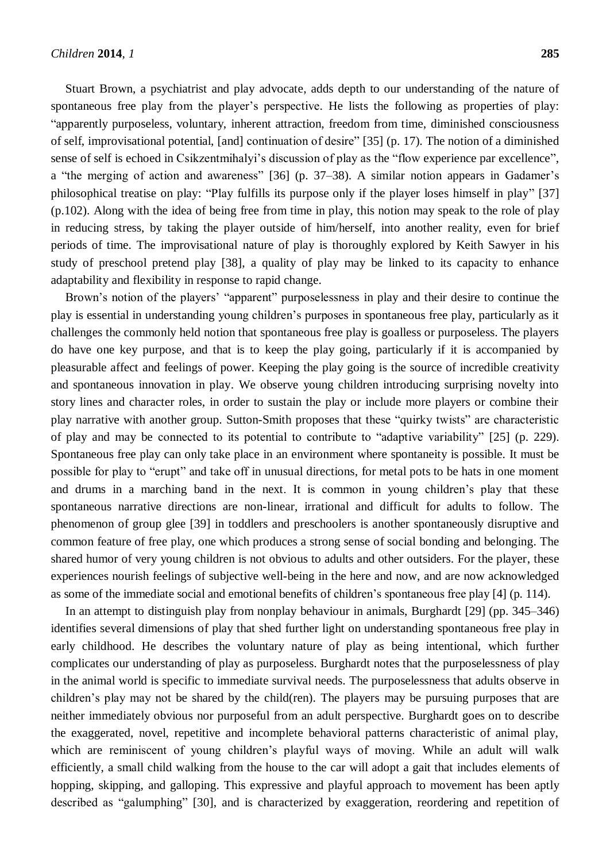Stuart Brown, a psychiatrist and play advocate, adds depth to our understanding of the nature of spontaneous free play from the player's perspective. He lists the following as properties of play: "apparently purposeless, voluntary, inherent attraction, freedom from time, diminished consciousness of self, improvisational potential, [and] continuation of desire" [35] (p. 17). The notion of a diminished sense of self is echoed in Csikzentmihalyi's discussion of play as the "flow experience par excellence", a "the merging of action and awareness" [36] (p. 37–38). A similar notion appears in Gadamer's philosophical treatise on play: "Play fulfills its purpose only if the player loses himself in play" [37] (p.102). Along with the idea of being free from time in play, this notion may speak to the role of play in reducing stress, by taking the player outside of him/herself, into another reality, even for brief periods of time. The improvisational nature of play is thoroughly explored by Keith Sawyer in his study of preschool pretend play [38], a quality of play may be linked to its capacity to enhance adaptability and flexibility in response to rapid change.

Brown's notion of the players' "apparent" purposelessness in play and their desire to continue the play is essential in understanding young children's purposes in spontaneous free play, particularly as it challenges the commonly held notion that spontaneous free play is goalless or purposeless. The players do have one key purpose, and that is to keep the play going, particularly if it is accompanied by pleasurable affect and feelings of power. Keeping the play going is the source of incredible creativity and spontaneous innovation in play. We observe young children introducing surprising novelty into story lines and character roles, in order to sustain the play or include more players or combine their play narrative with another group. Sutton-Smith proposes that these "quirky twists" are characteristic of play and may be connected to its potential to contribute to "adaptive variability" [25] (p. 229). Spontaneous free play can only take place in an environment where spontaneity is possible. It must be possible for play to "erupt" and take off in unusual directions, for metal pots to be hats in one moment and drums in a marching band in the next. It is common in young children's play that these spontaneous narrative directions are non-linear, irrational and difficult for adults to follow. The phenomenon of group glee [39] in toddlers and preschoolers is another spontaneously disruptive and common feature of free play, one which produces a strong sense of social bonding and belonging. The shared humor of very young children is not obvious to adults and other outsiders. For the player, these experiences nourish feelings of subjective well-being in the here and now, and are now acknowledged as some of the immediate social and emotional benefits of children's spontaneous free play [4] (p. 114).

In an attempt to distinguish play from nonplay behaviour in animals, Burghardt [29] (pp. 345–346) identifies several dimensions of play that shed further light on understanding spontaneous free play in early childhood. He describes the voluntary nature of play as being intentional, which further complicates our understanding of play as purposeless. Burghardt notes that the purposelessness of play in the animal world is specific to immediate survival needs. The purposelessness that adults observe in children's play may not be shared by the child(ren). The players may be pursuing purposes that are neither immediately obvious nor purposeful from an adult perspective. Burghardt goes on to describe the exaggerated, novel, repetitive and incomplete behavioral patterns characteristic of animal play, which are reminiscent of young children's playful ways of moving. While an adult will walk efficiently, a small child walking from the house to the car will adopt a gait that includes elements of hopping, skipping, and galloping. This expressive and playful approach to movement has been aptly described as "galumphing" [30], and is characterized by exaggeration, reordering and repetition of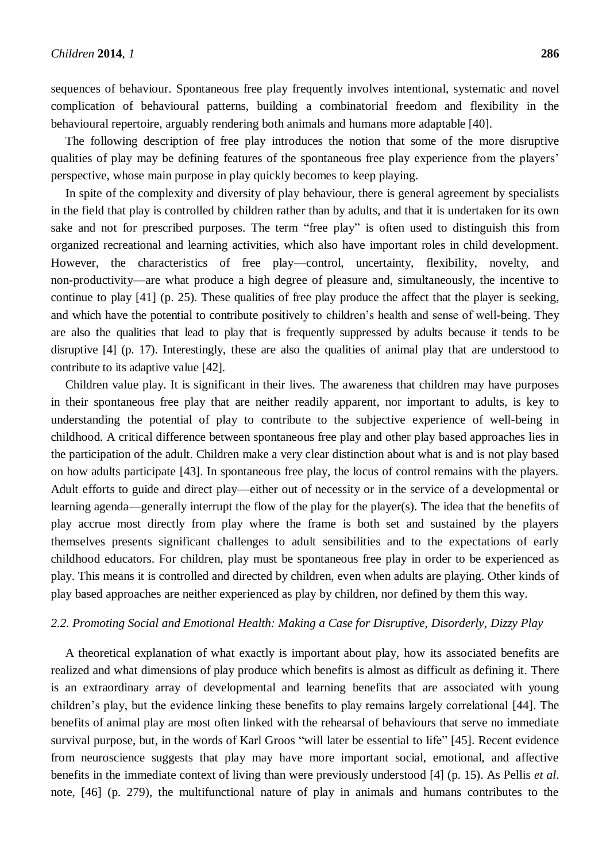sequences of behaviour. Spontaneous free play frequently involves intentional, systematic and novel complication of behavioural patterns, building a combinatorial freedom and flexibility in the behavioural repertoire, arguably rendering both animals and humans more adaptable [40].

The following description of free play introduces the notion that some of the more disruptive qualities of play may be defining features of the spontaneous free play experience from the players' perspective, whose main purpose in play quickly becomes to keep playing.

In spite of the complexity and diversity of play behaviour, there is general agreement by specialists in the field that play is controlled by children rather than by adults, and that it is undertaken for its own sake and not for prescribed purposes. The term "free play" is often used to distinguish this from organized recreational and learning activities, which also have important roles in child development. However, the characteristics of free play—control, uncertainty, flexibility, novelty, and non-productivity—are what produce a high degree of pleasure and, simultaneously, the incentive to continue to play  $[41]$  (p. 25). These qualities of free play produce the affect that the player is seeking, and which have the potential to contribute positively to children's health and sense of well-being. They are also the qualities that lead to play that is frequently suppressed by adults because it tends to be disruptive [4] (p. 17). Interestingly, these are also the qualities of animal play that are understood to contribute to its adaptive value [42].

Children value play. It is significant in their lives. The awareness that children may have purposes in their spontaneous free play that are neither readily apparent, nor important to adults, is key to understanding the potential of play to contribute to the subjective experience of well-being in childhood. A critical difference between spontaneous free play and other play based approaches lies in the participation of the adult. Children make a very clear distinction about what is and is not play based on how adults participate [43]. In spontaneous free play, the locus of control remains with the players. Adult efforts to guide and direct play—either out of necessity or in the service of a developmental or learning agenda—generally interrupt the flow of the play for the player(s). The idea that the benefits of play accrue most directly from play where the frame is both set and sustained by the players themselves presents significant challenges to adult sensibilities and to the expectations of early childhood educators. For children, play must be spontaneous free play in order to be experienced as play. This means it is controlled and directed by children, even when adults are playing. Other kinds of play based approaches are neither experienced as play by children, nor defined by them this way.

# *2.2. Promoting Social and Emotional Health: Making a Case for Disruptive, Disorderly, Dizzy Play*

A theoretical explanation of what exactly is important about play, how its associated benefits are realized and what dimensions of play produce which benefits is almost as difficult as defining it. There is an extraordinary array of developmental and learning benefits that are associated with young children's play, but the evidence linking these benefits to play remains largely correlational [44]. The benefits of animal play are most often linked with the rehearsal of behaviours that serve no immediate survival purpose, but, in the words of Karl Groos "will later be essential to life" [45]. Recent evidence from neuroscience suggests that play may have more important social, emotional, and affective benefits in the immediate context of living than were previously understood [4] (p. 15). As Pellis *et al*. note, [46] (p. 279), the multifunctional nature of play in animals and humans contributes to the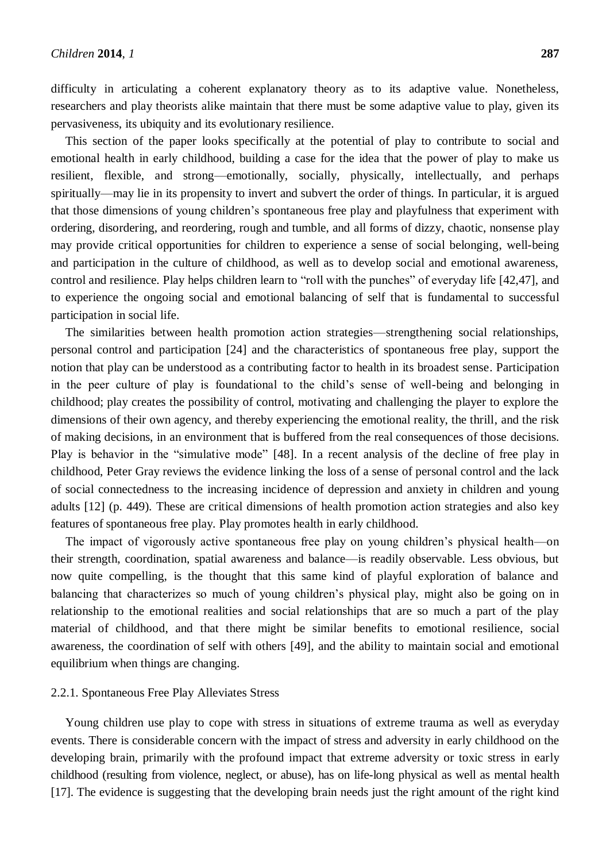difficulty in articulating a coherent explanatory theory as to its adaptive value. Nonetheless, researchers and play theorists alike maintain that there must be some adaptive value to play, given its pervasiveness, its ubiquity and its evolutionary resilience.

This section of the paper looks specifically at the potential of play to contribute to social and emotional health in early childhood, building a case for the idea that the power of play to make us resilient, flexible, and strong—emotionally, socially, physically, intellectually, and perhaps spiritually—may lie in its propensity to invert and subvert the order of things. In particular, it is argued that those dimensions of young children's spontaneous free play and playfulness that experiment with ordering, disordering, and reordering, rough and tumble, and all forms of dizzy, chaotic, nonsense play may provide critical opportunities for children to experience a sense of social belonging, well-being and participation in the culture of childhood, as well as to develop social and emotional awareness, control and resilience. Play helps children learn to "roll with the punches" of everyday life [42,47], and to experience the ongoing social and emotional balancing of self that is fundamental to successful participation in social life.

The similarities between health promotion action strategies—strengthening social relationships, personal control and participation [24] and the characteristics of spontaneous free play, support the notion that play can be understood as a contributing factor to health in its broadest sense. Participation in the peer culture of play is foundational to the child's sense of well-being and belonging in childhood; play creates the possibility of control, motivating and challenging the player to explore the dimensions of their own agency, and thereby experiencing the emotional reality, the thrill, and the risk of making decisions, in an environment that is buffered from the real consequences of those decisions. Play is behavior in the "simulative mode" [48]. In a recent analysis of the decline of free play in childhood, Peter Gray reviews the evidence linking the loss of a sense of personal control and the lack of social connectedness to the increasing incidence of depression and anxiety in children and young adults [12] (p. 449). These are critical dimensions of health promotion action strategies and also key features of spontaneous free play. Play promotes health in early childhood.

The impact of vigorously active spontaneous free play on young children's physical health—on their strength, coordination, spatial awareness and balance—is readily observable. Less obvious, but now quite compelling, is the thought that this same kind of playful exploration of balance and balancing that characterizes so much of young children's physical play, might also be going on in relationship to the emotional realities and social relationships that are so much a part of the play material of childhood, and that there might be similar benefits to emotional resilience, social awareness, the coordination of self with others [49], and the ability to maintain social and emotional equilibrium when things are changing.

# 2.2.1. Spontaneous Free Play Alleviates Stress

Young children use play to cope with stress in situations of extreme trauma as well as everyday events. There is considerable concern with the impact of stress and adversity in early childhood on the developing brain, primarily with the profound impact that extreme adversity or toxic stress in early childhood (resulting from violence, neglect, or abuse), has on life-long physical as well as mental health [17]. The evidence is suggesting that the developing brain needs just the right amount of the right kind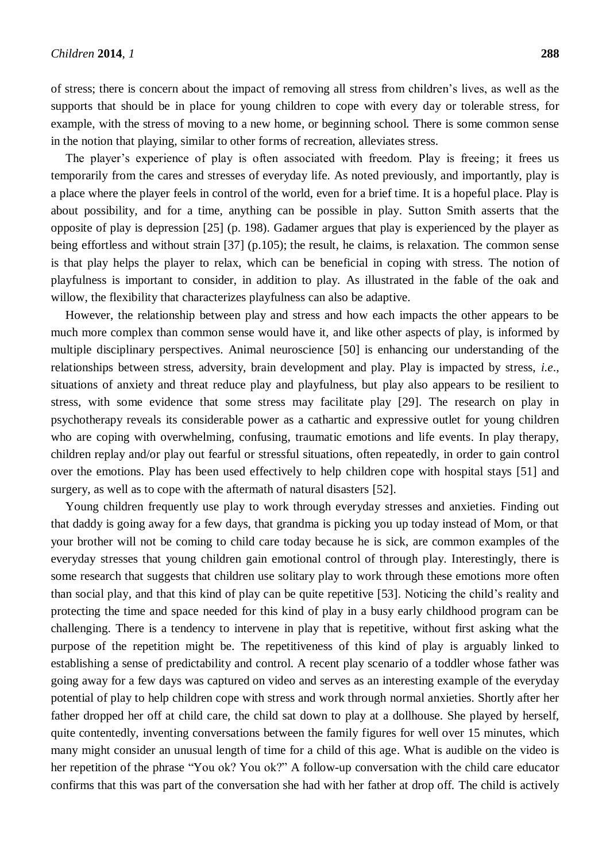of stress; there is concern about the impact of removing all stress from children's lives, as well as the supports that should be in place for young children to cope with every day or tolerable stress, for example, with the stress of moving to a new home, or beginning school. There is some common sense in the notion that playing, similar to other forms of recreation, alleviates stress.

The player's experience of play is often associated with freedom. Play is freeing; it frees us temporarily from the cares and stresses of everyday life. As noted previously, and importantly, play is a place where the player feels in control of the world, even for a brief time. It is a hopeful place. Play is about possibility, and for a time, anything can be possible in play. Sutton Smith asserts that the opposite of play is depression [25] (p. 198). Gadamer argues that play is experienced by the player as being effortless and without strain [37] (p.105); the result, he claims, is relaxation. The common sense is that play helps the player to relax, which can be beneficial in coping with stress. The notion of playfulness is important to consider, in addition to play. As illustrated in the fable of the oak and willow, the flexibility that characterizes playfulness can also be adaptive.

However, the relationship between play and stress and how each impacts the other appears to be much more complex than common sense would have it, and like other aspects of play, is informed by multiple disciplinary perspectives. Animal neuroscience [50] is enhancing our understanding of the relationships between stress, adversity, brain development and play. Play is impacted by stress, *i.e*., situations of anxiety and threat reduce play and playfulness, but play also appears to be resilient to stress, with some evidence that some stress may facilitate play [29]. The research on play in psychotherapy reveals its considerable power as a cathartic and expressive outlet for young children who are coping with overwhelming, confusing, traumatic emotions and life events. In play therapy, children replay and/or play out fearful or stressful situations, often repeatedly, in order to gain control over the emotions. Play has been used effectively to help children cope with hospital stays [51] and surgery, as well as to cope with the aftermath of natural disasters [52].

Young children frequently use play to work through everyday stresses and anxieties. Finding out that daddy is going away for a few days, that grandma is picking you up today instead of Mom, or that your brother will not be coming to child care today because he is sick, are common examples of the everyday stresses that young children gain emotional control of through play. Interestingly, there is some research that suggests that children use solitary play to work through these emotions more often than social play, and that this kind of play can be quite repetitive [53]. Noticing the child's reality and protecting the time and space needed for this kind of play in a busy early childhood program can be challenging. There is a tendency to intervene in play that is repetitive, without first asking what the purpose of the repetition might be. The repetitiveness of this kind of play is arguably linked to establishing a sense of predictability and control. A recent play scenario of a toddler whose father was going away for a few days was captured on video and serves as an interesting example of the everyday potential of play to help children cope with stress and work through normal anxieties. Shortly after her father dropped her off at child care, the child sat down to play at a dollhouse. She played by herself, quite contentedly, inventing conversations between the family figures for well over 15 minutes, which many might consider an unusual length of time for a child of this age. What is audible on the video is her repetition of the phrase "You ok? You ok?" A follow-up conversation with the child care educator confirms that this was part of the conversation she had with her father at drop off. The child is actively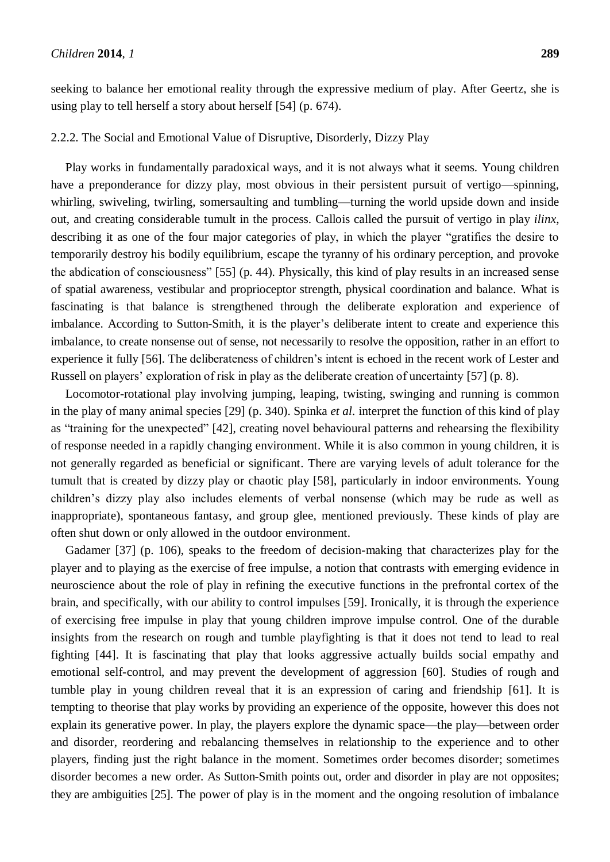seeking to balance her emotional reality through the expressive medium of play. After Geertz, she is using play to tell herself a story about herself [54] (p. 674).

## 2.2.2. The Social and Emotional Value of Disruptive, Disorderly, Dizzy Play

Play works in fundamentally paradoxical ways, and it is not always what it seems. Young children have a preponderance for dizzy play, most obvious in their persistent pursuit of vertigo—spinning, whirling, swiveling, twirling, somersaulting and tumbling—turning the world upside down and inside out, and creating considerable tumult in the process. Callois called the pursuit of vertigo in play *ilinx*, describing it as one of the four major categories of play, in which the player "gratifies the desire to temporarily destroy his bodily equilibrium, escape the tyranny of his ordinary perception, and provoke the abdication of consciousness" [55] (p. 44). Physically, this kind of play results in an increased sense of spatial awareness, vestibular and proprioceptor strength, physical coordination and balance. What is fascinating is that balance is strengthened through the deliberate exploration and experience of imbalance. According to Sutton-Smith, it is the player's deliberate intent to create and experience this imbalance, to create nonsense out of sense, not necessarily to resolve the opposition, rather in an effort to experience it fully [56]. The deliberateness of children's intent is echoed in the recent work of Lester and Russell on players' exploration of risk in play as the deliberate creation of uncertainty [57] (p. 8).

Locomotor-rotational play involving jumping, leaping, twisting, swinging and running is common in the play of many animal species [29] (p. 340). Spinka *et al*. interpret the function of this kind of play as "training for the unexpected" [42], creating novel behavioural patterns and rehearsing the flexibility of response needed in a rapidly changing environment. While it is also common in young children, it is not generally regarded as beneficial or significant. There are varying levels of adult tolerance for the tumult that is created by dizzy play or chaotic play [58], particularly in indoor environments. Young children's dizzy play also includes elements of verbal nonsense (which may be rude as well as inappropriate), spontaneous fantasy, and group glee, mentioned previously. These kinds of play are often shut down or only allowed in the outdoor environment.

Gadamer [37] (p. 106), speaks to the freedom of decision-making that characterizes play for the player and to playing as the exercise of free impulse, a notion that contrasts with emerging evidence in neuroscience about the role of play in refining the executive functions in the prefrontal cortex of the brain, and specifically, with our ability to control impulses [59]. Ironically, it is through the experience of exercising free impulse in play that young children improve impulse control. One of the durable insights from the research on rough and tumble playfighting is that it does not tend to lead to real fighting [44]. It is fascinating that play that looks aggressive actually builds social empathy and emotional self-control, and may prevent the development of aggression [60]. Studies of rough and tumble play in young children reveal that it is an expression of caring and friendship [61]. It is tempting to theorise that play works by providing an experience of the opposite, however this does not explain its generative power. In play, the players explore the dynamic space—the play—between order and disorder, reordering and rebalancing themselves in relationship to the experience and to other players, finding just the right balance in the moment. Sometimes order becomes disorder; sometimes disorder becomes a new order. As Sutton-Smith points out, order and disorder in play are not opposites; they are ambiguities [25]. The power of play is in the moment and the ongoing resolution of imbalance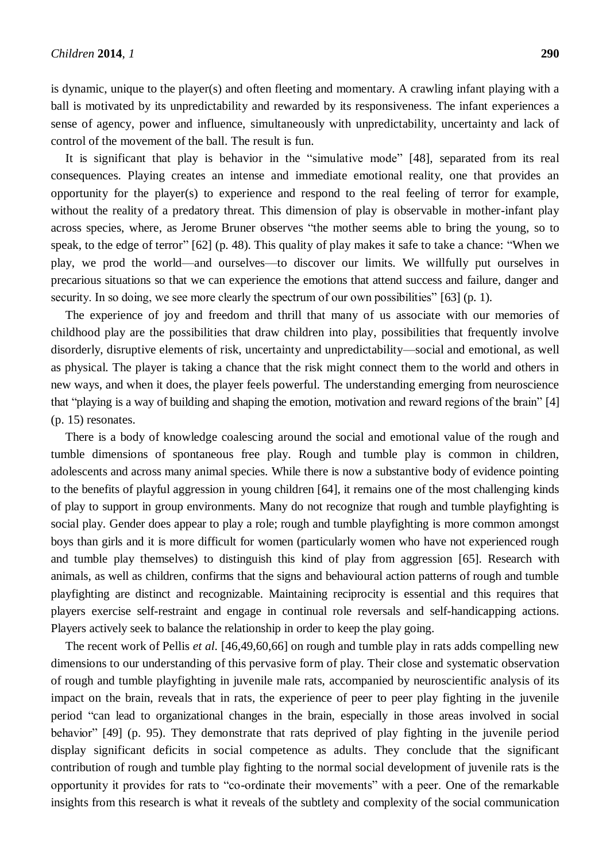is dynamic, unique to the player(s) and often fleeting and momentary. A crawling infant playing with a ball is motivated by its unpredictability and rewarded by its responsiveness. The infant experiences a sense of agency, power and influence, simultaneously with unpredictability, uncertainty and lack of control of the movement of the ball. The result is fun.

It is significant that play is behavior in the "simulative mode" [48], separated from its real consequences. Playing creates an intense and immediate emotional reality, one that provides an opportunity for the player(s) to experience and respond to the real feeling of terror for example, without the reality of a predatory threat. This dimension of play is observable in mother-infant play across species, where, as Jerome Bruner observes "the mother seems able to bring the young, so to speak, to the edge of terror" [62] (p. 48). This quality of play makes it safe to take a chance: "When we play, we prod the world—and ourselves—to discover our limits. We willfully put ourselves in precarious situations so that we can experience the emotions that attend success and failure, danger and security. In so doing, we see more clearly the spectrum of our own possibilities" [63] (p. 1).

The experience of joy and freedom and thrill that many of us associate with our memories of childhood play are the possibilities that draw children into play, possibilities that frequently involve disorderly, disruptive elements of risk, uncertainty and unpredictability—social and emotional, as well as physical. The player is taking a chance that the risk might connect them to the world and others in new ways, and when it does, the player feels powerful. The understanding emerging from neuroscience that "playing is a way of building and shaping the emotion, motivation and reward regions of the brain" [4] (p. 15) resonates.

There is a body of knowledge coalescing around the social and emotional value of the rough and tumble dimensions of spontaneous free play. Rough and tumble play is common in children, adolescents and across many animal species. While there is now a substantive body of evidence pointing to the benefits of playful aggression in young children [64], it remains one of the most challenging kinds of play to support in group environments. Many do not recognize that rough and tumble playfighting is social play. Gender does appear to play a role; rough and tumble playfighting is more common amongst boys than girls and it is more difficult for women (particularly women who have not experienced rough and tumble play themselves) to distinguish this kind of play from aggression [65]. Research with animals, as well as children, confirms that the signs and behavioural action patterns of rough and tumble playfighting are distinct and recognizable. Maintaining reciprocity is essential and this requires that players exercise self-restraint and engage in continual role reversals and self-handicapping actions. Players actively seek to balance the relationship in order to keep the play going.

The recent work of Pellis *et al.* [46,49,60,66] on rough and tumble play in rats adds compelling new dimensions to our understanding of this pervasive form of play. Their close and systematic observation of rough and tumble playfighting in juvenile male rats, accompanied by neuroscientific analysis of its impact on the brain, reveals that in rats, the experience of peer to peer play fighting in the juvenile period "can lead to organizational changes in the brain, especially in those areas involved in social behavior" [49] (p. 95). They demonstrate that rats deprived of play fighting in the juvenile period display significant deficits in social competence as adults. They conclude that the significant contribution of rough and tumble play fighting to the normal social development of juvenile rats is the opportunity it provides for rats to "co-ordinate their movements" with a peer. One of the remarkable insights from this research is what it reveals of the subtlety and complexity of the social communication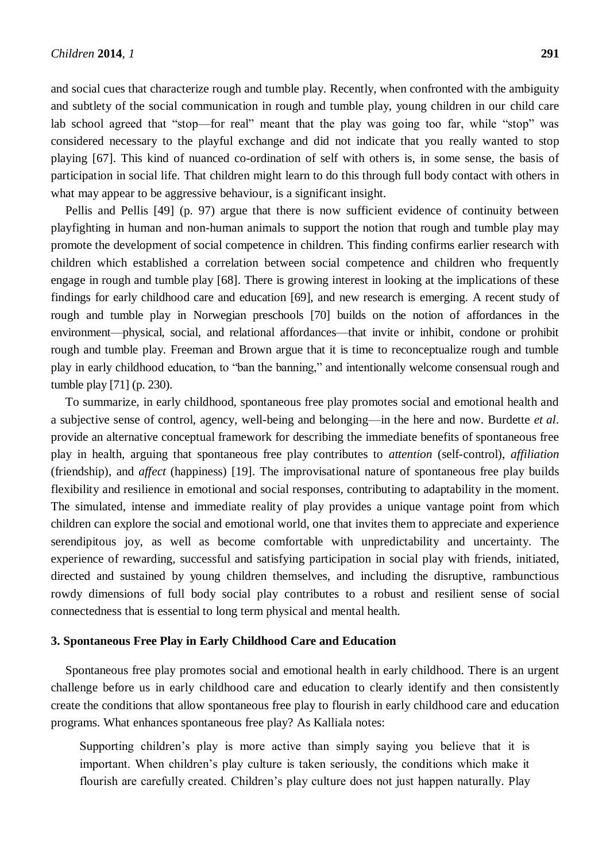and social cues that characterize rough and tumble play. Recently, when confronted with the ambiguity and subtlety of the social communication in rough and tumble play, young children in our child care lab school agreed that "stop—for real" meant that the play was going too far, while "stop" was considered necessary to the playful exchange and did not indicate that you really wanted to stop playing [67]. This kind of nuanced co-ordination of self with others is, in some sense, the basis of participation in social life. That children might learn to do this through full body contact with others in what may appear to be aggressive behaviour, is a significant insight.

Pellis and Pellis [49] (p. 97) argue that there is now sufficient evidence of continuity between playfighting in human and non-human animals to support the notion that rough and tumble play may promote the development of social competence in children. This finding confirms earlier research with children which established a correlation between social competence and children who frequently engage in rough and tumble play [68]. There is growing interest in looking at the implications of these findings for early childhood care and education [69], and new research is emerging. A recent study of rough and tumble play in Norwegian preschools [70] builds on the notion of affordances in the environment—physical, social, and relational affordances—that invite or inhibit, condone or prohibit rough and tumble play. Freeman and Brown argue that it is time to reconceptualize rough and tumble play in early childhood education, to "ban the banning," and intentionally welcome consensual rough and tumble play [71] (p. 230).

To summarize, in early childhood, spontaneous free play promotes social and emotional health and a subjective sense of control, agency, well-being and belonging—in the here and now. Burdette *et al*. provide an alternative conceptual framework for describing the immediate benefits of spontaneous free play in health, arguing that spontaneous free play contributes to *attention* (self-control), *affiliation*  (friendship), and *affect* (happiness) [19]. The improvisational nature of spontaneous free play builds flexibility and resilience in emotional and social responses, contributing to adaptability in the moment. The simulated, intense and immediate reality of play provides a unique vantage point from which children can explore the social and emotional world, one that invites them to appreciate and experience serendipitous joy, as well as become comfortable with unpredictability and uncertainty. The experience of rewarding, successful and satisfying participation in social play with friends, initiated, directed and sustained by young children themselves, and including the disruptive, rambunctious rowdy dimensions of full body social play contributes to a robust and resilient sense of social connectedness that is essential to long term physical and mental health.

#### **3. Spontaneous Free Play in Early Childhood Care and Education**

Spontaneous free play promotes social and emotional health in early childhood. There is an urgent challenge before us in early childhood care and education to clearly identify and then consistently create the conditions that allow spontaneous free play to flourish in early childhood care and education programs. What enhances spontaneous free play? As Kalliala notes:

Supporting children's play is more active than simply saying you believe that it is important. When children's play culture is taken seriously, the conditions which make it flourish are carefully created. Children's play culture does not just happen naturally. Play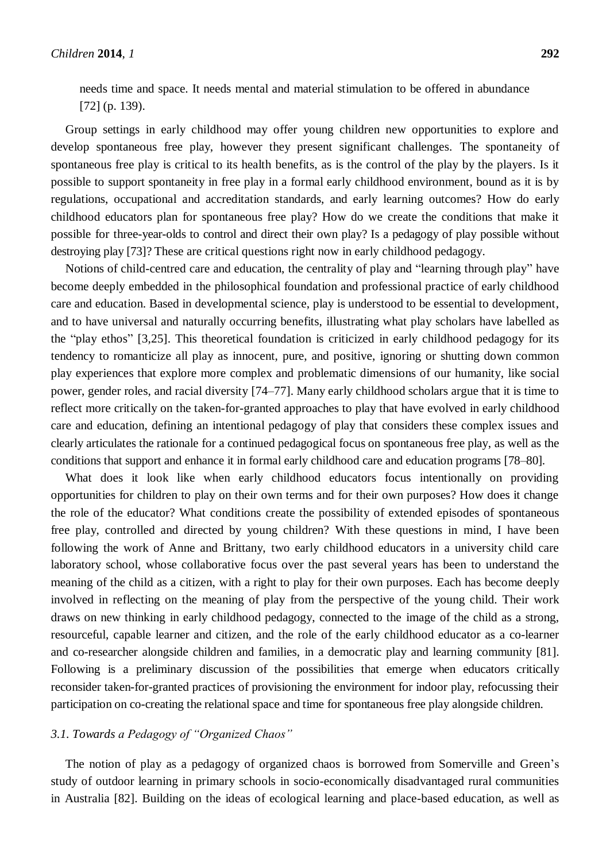needs time and space. It needs mental and material stimulation to be offered in abundance [72] (p. 139).

Group settings in early childhood may offer young children new opportunities to explore and develop spontaneous free play, however they present significant challenges. The spontaneity of spontaneous free play is critical to its health benefits, as is the control of the play by the players. Is it possible to support spontaneity in free play in a formal early childhood environment, bound as it is by regulations, occupational and accreditation standards, and early learning outcomes? How do early childhood educators plan for spontaneous free play? How do we create the conditions that make it possible for three-year-olds to control and direct their own play? Is a pedagogy of play possible without destroying play [73]? These are critical questions right now in early childhood pedagogy.

Notions of child-centred care and education, the centrality of play and "learning through play" have become deeply embedded in the philosophical foundation and professional practice of early childhood care and education. Based in developmental science, play is understood to be essential to development, and to have universal and naturally occurring benefits, illustrating what play scholars have labelled as the "play ethos" [3,25]. This theoretical foundation is criticized in early childhood pedagogy for its tendency to romanticize all play as innocent, pure, and positive, ignoring or shutting down common play experiences that explore more complex and problematic dimensions of our humanity, like social power, gender roles, and racial diversity [74–77]. Many early childhood scholars argue that it is time to reflect more critically on the taken-for-granted approaches to play that have evolved in early childhood care and education, defining an intentional pedagogy of play that considers these complex issues and clearly articulates the rationale for a continued pedagogical focus on spontaneous free play, as well as the conditions that support and enhance it in formal early childhood care and education programs [78–80].

What does it look like when early childhood educators focus intentionally on providing opportunities for children to play on their own terms and for their own purposes? How does it change the role of the educator? What conditions create the possibility of extended episodes of spontaneous free play, controlled and directed by young children? With these questions in mind, I have been following the work of Anne and Brittany, two early childhood educators in a university child care laboratory school, whose collaborative focus over the past several years has been to understand the meaning of the child as a citizen, with a right to play for their own purposes. Each has become deeply involved in reflecting on the meaning of play from the perspective of the young child. Their work draws on new thinking in early childhood pedagogy, connected to the image of the child as a strong, resourceful, capable learner and citizen, and the role of the early childhood educator as a co-learner and co-researcher alongside children and families, in a democratic play and learning community [81]. Following is a preliminary discussion of the possibilities that emerge when educators critically reconsider taken-for-granted practices of provisioning the environment for indoor play, refocussing their participation on co-creating the relational space and time for spontaneous free play alongside children.

# *3.1. Towards a Pedagogy of "Organized Chaos"*

The notion of play as a pedagogy of organized chaos is borrowed from Somerville and Green's study of outdoor learning in primary schools in socio-economically disadvantaged rural communities in Australia [82]. Building on the ideas of ecological learning and place-based education, as well as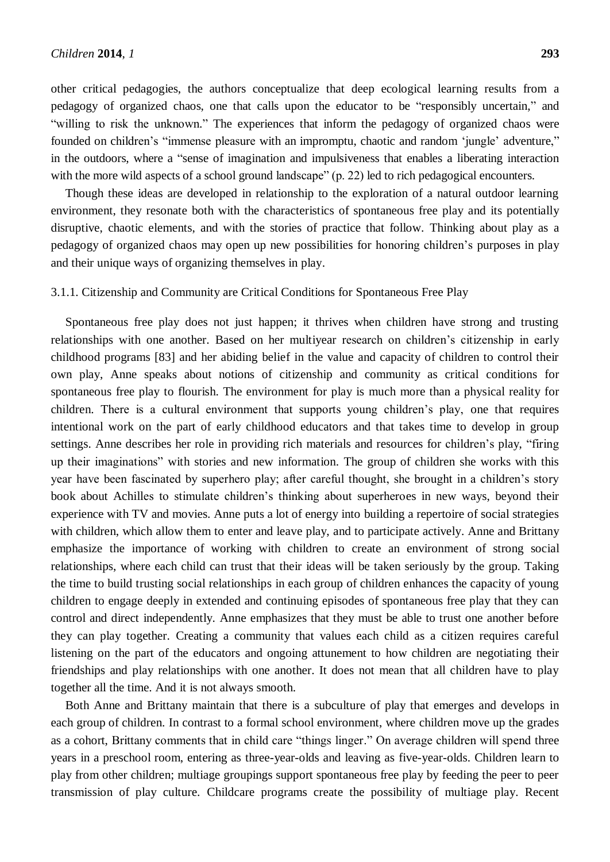other critical pedagogies, the authors conceptualize that deep ecological learning results from a pedagogy of organized chaos, one that calls upon the educator to be "responsibly uncertain," and "willing to risk the unknown." The experiences that inform the pedagogy of organized chaos were founded on children's "immense pleasure with an impromptu, chaotic and random 'jungle' adventure," in the outdoors, where a "sense of imagination and impulsiveness that enables a liberating interaction with the more wild aspects of a school ground landscape" (p. 22) led to rich pedagogical encounters.

Though these ideas are developed in relationship to the exploration of a natural outdoor learning environment, they resonate both with the characteristics of spontaneous free play and its potentially disruptive, chaotic elements, and with the stories of practice that follow. Thinking about play as a pedagogy of organized chaos may open up new possibilities for honoring children's purposes in play and their unique ways of organizing themselves in play.

## 3.1.1. Citizenship and Community are Critical Conditions for Spontaneous Free Play

Spontaneous free play does not just happen; it thrives when children have strong and trusting relationships with one another. Based on her multiyear research on children's citizenship in early childhood programs [83] and her abiding belief in the value and capacity of children to control their own play, Anne speaks about notions of citizenship and community as critical conditions for spontaneous free play to flourish. The environment for play is much more than a physical reality for children. There is a cultural environment that supports young children's play, one that requires intentional work on the part of early childhood educators and that takes time to develop in group settings. Anne describes her role in providing rich materials and resources for children's play, "firing up their imaginations" with stories and new information. The group of children she works with this year have been fascinated by superhero play; after careful thought, she brought in a children's story book about Achilles to stimulate children's thinking about superheroes in new ways, beyond their experience with TV and movies. Anne puts a lot of energy into building a repertoire of social strategies with children, which allow them to enter and leave play, and to participate actively. Anne and Brittany emphasize the importance of working with children to create an environment of strong social relationships, where each child can trust that their ideas will be taken seriously by the group. Taking the time to build trusting social relationships in each group of children enhances the capacity of young children to engage deeply in extended and continuing episodes of spontaneous free play that they can control and direct independently. Anne emphasizes that they must be able to trust one another before they can play together. Creating a community that values each child as a citizen requires careful listening on the part of the educators and ongoing attunement to how children are negotiating their friendships and play relationships with one another. It does not mean that all children have to play together all the time. And it is not always smooth.

Both Anne and Brittany maintain that there is a subculture of play that emerges and develops in each group of children. In contrast to a formal school environment, where children move up the grades as a cohort, Brittany comments that in child care "things linger." On average children will spend three years in a preschool room, entering as three-year-olds and leaving as five-year-olds. Children learn to play from other children; multiage groupings support spontaneous free play by feeding the peer to peer transmission of play culture. Childcare programs create the possibility of multiage play. Recent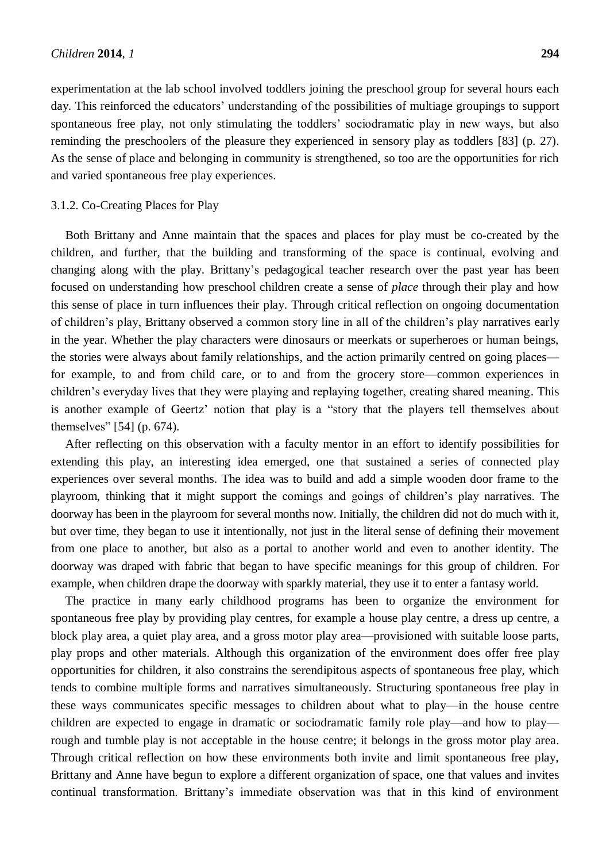experimentation at the lab school involved toddlers joining the preschool group for several hours each day. This reinforced the educators' understanding of the possibilities of multiage groupings to support spontaneous free play, not only stimulating the toddlers' sociodramatic play in new ways, but also reminding the preschoolers of the pleasure they experienced in sensory play as toddlers [83] (p. 27). As the sense of place and belonging in community is strengthened, so too are the opportunities for rich and varied spontaneous free play experiences.

# 3.1.2. Co-Creating Places for Play

Both Brittany and Anne maintain that the spaces and places for play must be co-created by the children, and further, that the building and transforming of the space is continual, evolving and changing along with the play. Brittany's pedagogical teacher research over the past year has been focused on understanding how preschool children create a sense of *place* through their play and how this sense of place in turn influences their play. Through critical reflection on ongoing documentation of children's play, Brittany observed a common story line in all of the children's play narratives early in the year. Whether the play characters were dinosaurs or meerkats or superheroes or human beings, the stories were always about family relationships, and the action primarily centred on going places for example, to and from child care, or to and from the grocery store—common experiences in children's everyday lives that they were playing and replaying together, creating shared meaning. This is another example of Geertz' notion that play is a "story that the players tell themselves about themselves" [54] (p. 674).

After reflecting on this observation with a faculty mentor in an effort to identify possibilities for extending this play, an interesting idea emerged, one that sustained a series of connected play experiences over several months. The idea was to build and add a simple wooden door frame to the playroom, thinking that it might support the comings and goings of children's play narratives. The doorway has been in the playroom for several months now. Initially, the children did not do much with it, but over time, they began to use it intentionally, not just in the literal sense of defining their movement from one place to another, but also as a portal to another world and even to another identity. The doorway was draped with fabric that began to have specific meanings for this group of children. For example, when children drape the doorway with sparkly material, they use it to enter a fantasy world.

The practice in many early childhood programs has been to organize the environment for spontaneous free play by providing play centres, for example a house play centre, a dress up centre, a block play area, a quiet play area, and a gross motor play area—provisioned with suitable loose parts, play props and other materials. Although this organization of the environment does offer free play opportunities for children, it also constrains the serendipitous aspects of spontaneous free play, which tends to combine multiple forms and narratives simultaneously. Structuring spontaneous free play in these ways communicates specific messages to children about what to play—in the house centre children are expected to engage in dramatic or sociodramatic family role play—and how to play rough and tumble play is not acceptable in the house centre; it belongs in the gross motor play area. Through critical reflection on how these environments both invite and limit spontaneous free play, Brittany and Anne have begun to explore a different organization of space, one that values and invites continual transformation. Brittany's immediate observation was that in this kind of environment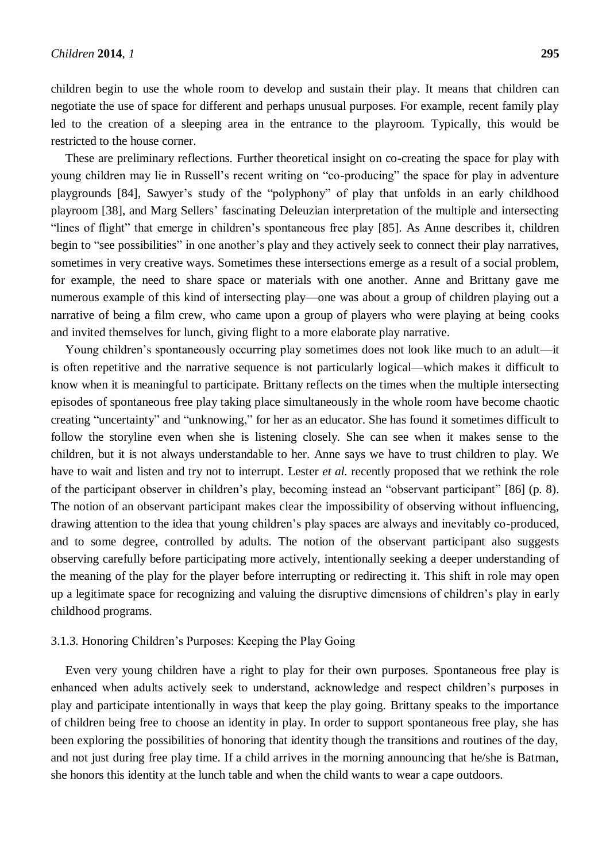children begin to use the whole room to develop and sustain their play. It means that children can negotiate the use of space for different and perhaps unusual purposes. For example, recent family play led to the creation of a sleeping area in the entrance to the playroom. Typically, this would be restricted to the house corner.

These are preliminary reflections. Further theoretical insight on co-creating the space for play with young children may lie in Russell's recent writing on "co-producing" the space for play in adventure playgrounds [84], Sawyer's study of the "polyphony" of play that unfolds in an early childhood playroom [38], and Marg Sellers' fascinating Deleuzian interpretation of the multiple and intersecting "lines of flight" that emerge in children's spontaneous free play [85]. As Anne describes it, children begin to "see possibilities" in one another's play and they actively seek to connect their play narratives, sometimes in very creative ways. Sometimes these intersections emerge as a result of a social problem, for example, the need to share space or materials with one another. Anne and Brittany gave me numerous example of this kind of intersecting play—one was about a group of children playing out a narrative of being a film crew, who came upon a group of players who were playing at being cooks and invited themselves for lunch, giving flight to a more elaborate play narrative.

Young children's spontaneously occurring play sometimes does not look like much to an adult—it is often repetitive and the narrative sequence is not particularly logical—which makes it difficult to know when it is meaningful to participate. Brittany reflects on the times when the multiple intersecting episodes of spontaneous free play taking place simultaneously in the whole room have become chaotic creating "uncertainty" and "unknowing," for her as an educator. She has found it sometimes difficult to follow the storyline even when she is listening closely. She can see when it makes sense to the children, but it is not always understandable to her. Anne says we have to trust children to play. We have to wait and listen and try not to interrupt. Lester *et al*. recently proposed that we rethink the role of the participant observer in children's play, becoming instead an "observant participant" [86] (p. 8). The notion of an observant participant makes clear the impossibility of observing without influencing, drawing attention to the idea that young children's play spaces are always and inevitably co-produced, and to some degree, controlled by adults. The notion of the observant participant also suggests observing carefully before participating more actively, intentionally seeking a deeper understanding of the meaning of the play for the player before interrupting or redirecting it. This shift in role may open up a legitimate space for recognizing and valuing the disruptive dimensions of children's play in early childhood programs.

## 3.1.3. Honoring Children's Purposes: Keeping the Play Going

Even very young children have a right to play for their own purposes. Spontaneous free play is enhanced when adults actively seek to understand, acknowledge and respect children's purposes in play and participate intentionally in ways that keep the play going. Brittany speaks to the importance of children being free to choose an identity in play. In order to support spontaneous free play, she has been exploring the possibilities of honoring that identity though the transitions and routines of the day, and not just during free play time. If a child arrives in the morning announcing that he/she is Batman, she honors this identity at the lunch table and when the child wants to wear a cape outdoors.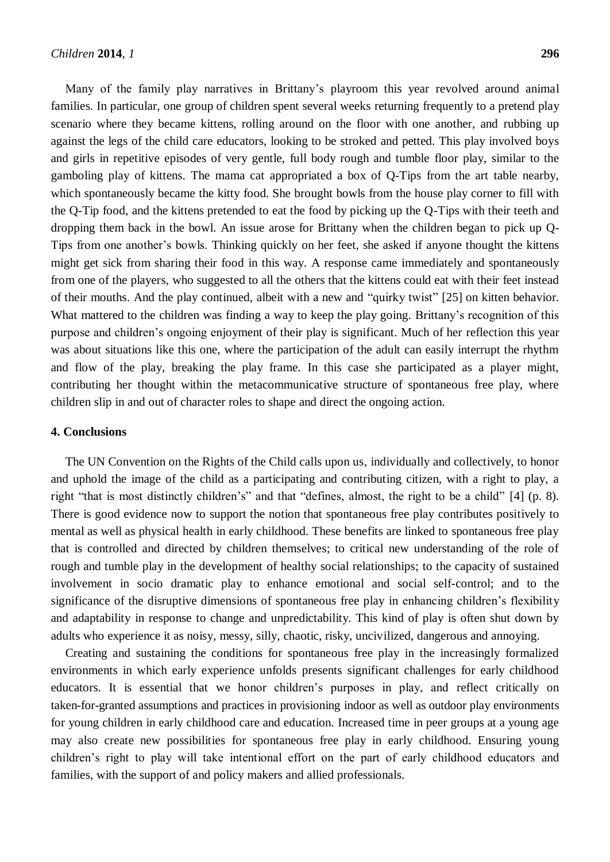Many of the family play narratives in Brittany's playroom this year revolved around animal families. In particular, one group of children spent several weeks returning frequently to a pretend play scenario where they became kittens, rolling around on the floor with one another, and rubbing up against the legs of the child care educators, looking to be stroked and petted. This play involved boys and girls in repetitive episodes of very gentle, full body rough and tumble floor play, similar to the gamboling play of kittens. The mama cat appropriated a box of Q-Tips from the art table nearby, which spontaneously became the kitty food. She brought bowls from the house play corner to fill with the Q-Tip food, and the kittens pretended to eat the food by picking up the Q-Tips with their teeth and dropping them back in the bowl. An issue arose for Brittany when the children began to pick up Q-Tips from one another's bowls. Thinking quickly on her feet, she asked if anyone thought the kittens might get sick from sharing their food in this way. A response came immediately and spontaneously from one of the players, who suggested to all the others that the kittens could eat with their feet instead of their mouths. And the play continued, albeit with a new and "quirky twist" [25] on kitten behavior. What mattered to the children was finding a way to keep the play going. Brittany's recognition of this purpose and children's ongoing enjoyment of their play is significant. Much of her reflection this year was about situations like this one, where the participation of the adult can easily interrupt the rhythm and flow of the play, breaking the play frame. In this case she participated as a player might, contributing her thought within the metacommunicative structure of spontaneous free play, where children slip in and out of character roles to shape and direct the ongoing action.

# **4. Conclusions**

The UN Convention on the Rights of the Child calls upon us, individually and collectively, to honor and uphold the image of the child as a participating and contributing citizen, with a right to play, a right "that is most distinctly children's" and that "defines, almost, the right to be a child" [4] (p. 8). There is good evidence now to support the notion that spontaneous free play contributes positively to mental as well as physical health in early childhood. These benefits are linked to spontaneous free play that is controlled and directed by children themselves; to critical new understanding of the role of rough and tumble play in the development of healthy social relationships; to the capacity of sustained involvement in socio dramatic play to enhance emotional and social self-control; and to the significance of the disruptive dimensions of spontaneous free play in enhancing children's flexibility and adaptability in response to change and unpredictability. This kind of play is often shut down by adults who experience it as noisy, messy, silly, chaotic, risky, uncivilized, dangerous and annoying.

Creating and sustaining the conditions for spontaneous free play in the increasingly formalized environments in which early experience unfolds presents significant challenges for early childhood educators. It is essential that we honor children's purposes in play, and reflect critically on taken-for-granted assumptions and practices in provisioning indoor as well as outdoor play environments for young children in early childhood care and education. Increased time in peer groups at a young age may also create new possibilities for spontaneous free play in early childhood. Ensuring young children's right to play will take intentional effort on the part of early childhood educators and families, with the support of and policy makers and allied professionals.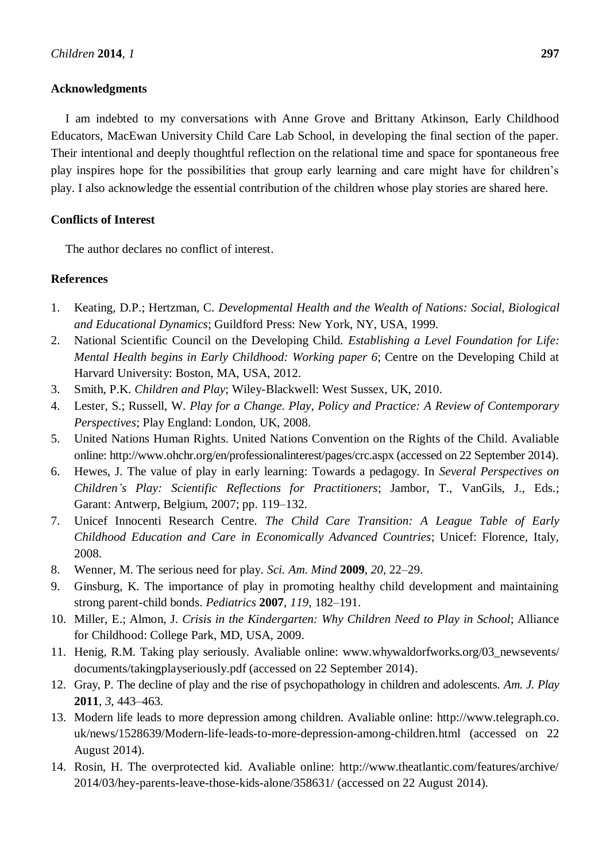# **Acknowledgments**

I am indebted to my conversations with Anne Grove and Brittany Atkinson, Early Childhood Educators, MacEwan University Child Care Lab School, in developing the final section of the paper. Their intentional and deeply thoughtful reflection on the relational time and space for spontaneous free play inspires hope for the possibilities that group early learning and care might have for children's play. I also acknowledge the essential contribution of the children whose play stories are shared here.

# **Conflicts of Interest**

The author declares no conflict of interest.

# **References**

- 1. Keating, D.P.; Hertzman, C. *Developmental Health and the Wealth of Nations: Social, Biological and Educational Dynamics*; Guildford Press: New York, NY, USA, 1999.
- 2. National Scientific Council on the Developing Child. *Establishing a Level Foundation for Life: Mental Health begins in Early Childhood: Working paper 6*; Centre on the Developing Child at Harvard University: Boston, MA, USA, 2012.
- 3. Smith, P.K. *Children and Play*; Wiley-Blackwell: West Sussex, UK, 2010.
- 4. Lester, S.; Russell, W. *Play for a Change. Play, Policy and Practice: A Review of Contemporary Perspectives*; Play England: London, UK, 2008.
- 5. United Nations Human Rights. United Nations Convention on the Rights of the Child. Avaliable online: http://www.ohchr.org/en/professionalinterest/pages/crc.aspx (accessed on 22 September 2014).
- 6. Hewes, J. The value of play in early learning: Towards a pedagogy. In *Several Perspectives on Children's Play: Scientific Reflections for Practitioners*; Jambor, T., VanGils, J., Eds.; Garant: Antwerp, Belgium, 2007; pp. 119–132.
- 7. Unicef Innocenti Research Centre. *The Child Care Transition: A League Table of Early Childhood Education and Care in Economically Advanced Countries*; Unicef: Florence, Italy, 2008.
- 8. Wenner, M. The serious need for play. *Sci. Am. Mind* **2009**, *20*, 22–29.
- 9. Ginsburg, K. The importance of play in promoting healthy child development and maintaining strong parent-child bonds. *Pediatrics* **2007**, *119*, 182–191.
- 10. Miller, E.; Almon, J. *Crisis in the Kindergarten: Why Children Need to Play in School*; Alliance for Childhood: College Park, MD, USA, 2009.
- 11. Henig, R.M. Taking play seriously. Avaliable online: www.whywaldorfworks.org/03\_newsevents/ documents/takingplayseriously.pdf (accessed on 22 September 2014).
- 12. Gray, P. The decline of play and the rise of psychopathology in children and adolescents. *Am. J. Play*  **2011**, *3*, 443–463.
- 13. Modern life leads to more depression among children. Avaliable online: http://www.telegraph.co. uk/news/1528639/Modern-life-leads-to-more-depression-among-children.html (accessed on 22 August 2014).
- 14. Rosin, H. The overprotected kid. Avaliable online: http://www.theatlantic.com/features/archive/ 2014/03/hey-parents-leave-those-kids-alone/358631/ (accessed on 22 August 2014).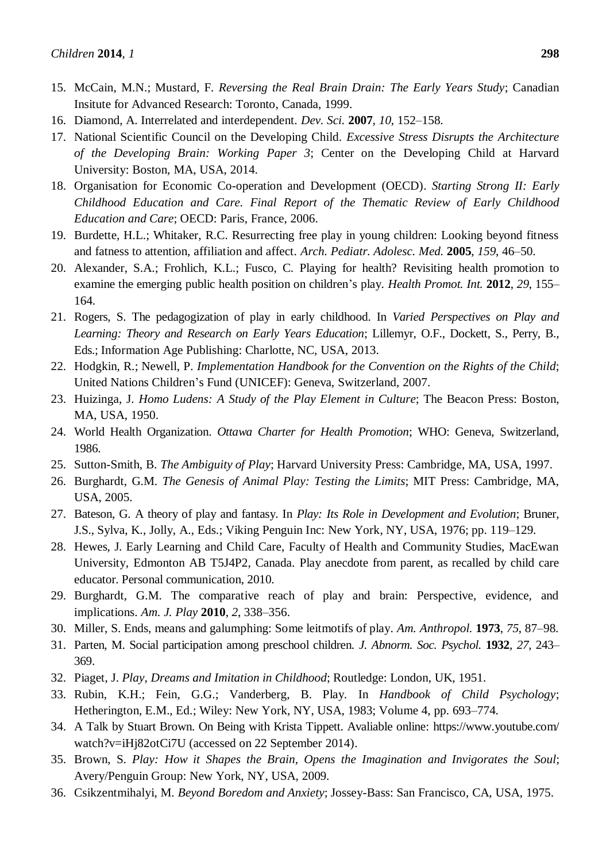- 15. McCain, M.N.; Mustard, F. *Reversing the Real Brain Drain: The Early Years Study*; Canadian Insitute for Advanced Research: Toronto, Canada, 1999.
- 16. Diamond, A. Interrelated and interdependent. *Dev. Sci.* **2007**, *10*, 152–158.
- 17. National Scientific Council on the Developing Child. *Excessive Stress Disrupts the Architecture of the Developing Brain: Working Paper 3*; Center on the Developing Child at Harvard University: Boston, MA, USA, 2014.
- 18. Organisation for Economic Co-operation and Development (OECD). *Starting Strong II: Early Childhood Education and Care. Final Report of the Thematic Review of Early Childhood Education and Care*; OECD: Paris, France, 2006.
- 19. Burdette, H.L.; Whitaker, R.C. Resurrecting free play in young children: Looking beyond fitness and fatness to attention, affiliation and affect. *Arch. Pediatr. Adolesc. Med.* **2005**, *159*, 46–50.
- 20. Alexander, S.A.; Frohlich, K.L.; Fusco, C. Playing for health? Revisiting health promotion to examine the emerging public health position on children's play. *Health Promot. Int.* **2012**, *29*, 155– 164.
- 21. Rogers, S. The pedagogization of play in early childhood. In *Varied Perspectives on Play and Learning: Theory and Research on Early Years Education*; Lillemyr, O.F., Dockett, S., Perry, B., Eds.; Information Age Publishing: Charlotte, NC, USA, 2013.
- 22. Hodgkin, R.; Newell, P. *Implementation Handbook for the Convention on the Rights of the Child*; United Nations Children's Fund (UNICEF): Geneva, Switzerland, 2007.
- 23. Huizinga, J. *Homo Ludens: A Study of the Play Element in Culture*; The Beacon Press: Boston, MA, USA, 1950.
- 24. World Health Organization. *Ottawa Charter for Health Promotion*; WHO: Geneva, Switzerland, 1986.
- 25. Sutton-Smith, B. *The Ambiguity of Play*; Harvard University Press: Cambridge, MA, USA, 1997.
- 26. Burghardt, G.M. *The Genesis of Animal Play: Testing the Limits*; MIT Press: Cambridge, MA, USA, 2005.
- 27. Bateson, G. A theory of play and fantasy. In *Play: Its Role in Development and Evolution*; Bruner, J.S., Sylva, K., Jolly, A., Eds.; Viking Penguin Inc: New York, NY, USA, 1976; pp. 119–129.
- 28. Hewes, J. Early Learning and Child Care, Faculty of Health and Community Studies, MacEwan University, Edmonton AB T5J4P2, Canada. Play anecdote from parent, as recalled by child care educator. Personal communication, 2010.
- 29. Burghardt, G.M. The comparative reach of play and brain: Perspective, evidence, and implications. *Am. J. Play* **2010**, *2*, 338–356.
- 30. Miller, S. Ends, means and galumphing: Some leitmotifs of play. *Am. Anthropol.* **1973**, *75*, 87–98.
- 31. Parten, M. Social participation among preschool children. *J. Abnorm. Soc. Psychol.* **1932**, *27*, 243– 369.
- 32. Piaget, J. *Play, Dreams and Imitation in Childhood*; Routledge: London, UK, 1951.
- 33. Rubin, K.H.; Fein, G.G.; Vanderberg, B. Play. In *Handbook of Child Psychology*; Hetherington, E.M., Ed.; Wiley: New York, NY, USA, 1983; Volume 4, pp. 693–774.
- 34. A Talk by Stuart Brown. On Being with Krista Tippett. Avaliable online: https://www.youtube.com/ watch?v=iHj82otCi7U (accessed on 22 September 2014).
- 35. Brown, S. *Play: How it Shapes the Brain, Opens the Imagination and Invigorates the Soul*; Avery/Penguin Group: New York, NY, USA, 2009.
- 36. Csikzentmihalyi, M. *Beyond Boredom and Anxiety*; Jossey-Bass: San Francisco, CA, USA, 1975.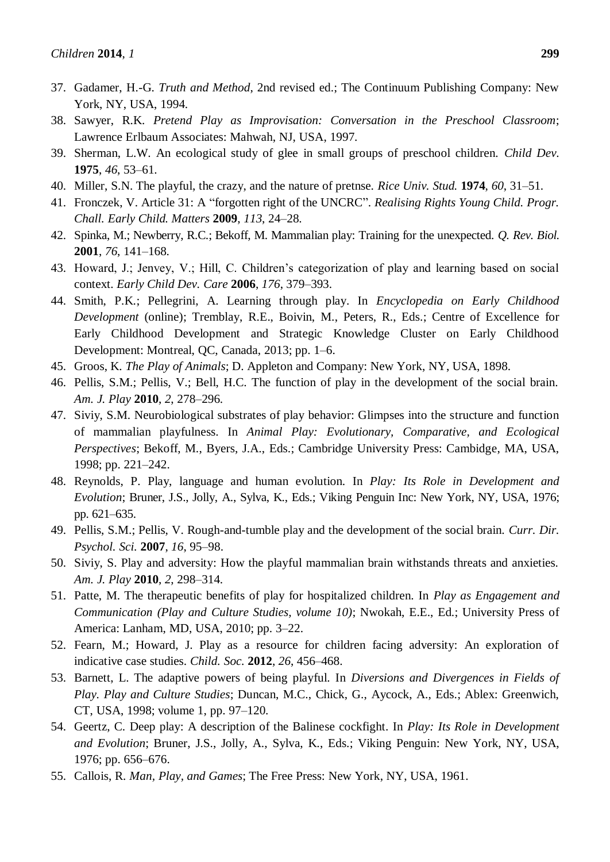- 37. Gadamer, H.-G. *Truth and Method*, 2nd revised ed.; The Continuum Publishing Company: New York, NY, USA, 1994.
- 38. Sawyer, R.K. *Pretend Play as Improvisation: Conversation in the Preschool Classroom*; Lawrence Erlbaum Associates: Mahwah, NJ, USA, 1997.
- 39. Sherman, L.W. An ecological study of glee in small groups of preschool children. *Child Dev.* **1975**, *46*, 53–61.
- 40. Miller, S.N. The playful, the crazy, and the nature of pretnse. *Rice Univ. Stud.* **1974**, *60*, 31–51.
- 41. Fronczek, V. Article 31: A "forgotten right of the UNCRC". *Realising Rights Young Child. Progr. Chall. Early Child. Matters* **2009**, *113*, 24–28.
- 42. Spinka, M.; Newberry, R.C.; Bekoff, M. Mammalian play: Training for the unexpected. *Q. Rev. Biol.* **2001**, *76*, 141–168.
- 43. Howard, J.; Jenvey, V.; Hill, C. Children's categorization of play and learning based on social context. *Early Child Dev. Care* **2006**, *176*, 379–393.
- 44. Smith, P.K.; Pellegrini, A. Learning through play. In *Encyclopedia on Early Childhood Development* (online); Tremblay, R.E., Boivin, M., Peters, R., Eds.; Centre of Excellence for Early Childhood Development and Strategic Knowledge Cluster on Early Childhood Development: Montreal, QC, Canada, 2013; pp. 1–6.
- 45. Groos, K. *The Play of Animals*; D. Appleton and Company: New York, NY, USA, 1898.
- 46. Pellis, S.M.; Pellis, V.; Bell, H.C. The function of play in the development of the social brain. *Am. J. Play* **2010**, *2*, 278–296.
- 47. Siviy, S.M. Neurobiological substrates of play behavior: Glimpses into the structure and function of mammalian playfulness. In *Animal Play: Evolutionary, Comparative, and Ecological Perspectives*; Bekoff, M., Byers, J.A., Eds.; Cambridge University Press: Cambidge, MA, USA, 1998; pp. 221–242.
- 48. Reynolds, P. Play, language and human evolution. In *Play: Its Role in Development and Evolution*; Bruner, J.S., Jolly, A., Sylva, K., Eds.; Viking Penguin Inc: New York, NY, USA, 1976; pp. 621–635.
- 49. Pellis, S.M.; Pellis, V. Rough-and-tumble play and the development of the social brain. *Curr. Dir. Psychol. Sci.* **2007**, *16*, 95–98.
- 50. Siviy, S. Play and adversity: How the playful mammalian brain withstands threats and anxieties. *Am. J. Play* **2010**, *2*, 298–314.
- 51. Patte, M. The therapeutic benefits of play for hospitalized children. In *Play as Engagement and Communication (Play and Culture Studies, volume 10)*; Nwokah, E.E., Ed.; University Press of America: Lanham, MD, USA, 2010; pp. 3–22.
- 52. Fearn, M.; Howard, J. Play as a resource for children facing adversity: An exploration of indicative case studies. *Child. Soc.* **2012**, *26*, 456–468.
- 53. Barnett, L. The adaptive powers of being playful. In *Diversions and Divergences in Fields of Play. Play and Culture Studies*; Duncan, M.C., Chick, G., Aycock, A., Eds.; Ablex: Greenwich, CT, USA, 1998; volume 1, pp. 97–120.
- 54. Geertz, C. Deep play: A description of the Balinese cockfight. In *Play: Its Role in Development and Evolution*; Bruner, J.S., Jolly, A., Sylva, K., Eds.; Viking Penguin: New York, NY, USA, 1976; pp. 656–676.
- 55. Callois, R. *Man, Play, and Games*; The Free Press: New York, NY, USA, 1961.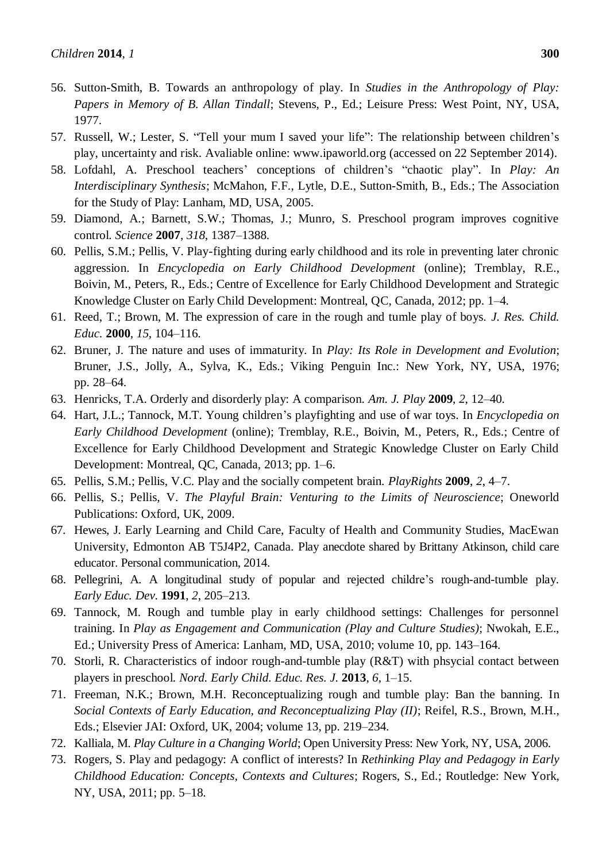- 56. Sutton-Smith, B. Towards an anthropology of play. In *Studies in the Anthropology of Play: Papers in Memory of B. Allan Tindall*; Stevens, P., Ed.; Leisure Press: West Point, NY, USA, 1977.
- 57. Russell, W.; Lester, S. "Tell your mum I saved your life": The relationship between children's play, uncertainty and risk. Avaliable online: www.ipaworld.org (accessed on 22 September 2014).
- 58. Lofdahl, A. Preschool teachers' conceptions of children's "chaotic play". In *Play: An Interdisciplinary Synthesis*; McMahon, F.F., Lytle, D.E., Sutton-Smith, B., Eds.; The Association for the Study of Play: Lanham, MD, USA, 2005.
- 59. Diamond, A.; Barnett, S.W.; Thomas, J.; Munro, S. Preschool program improves cognitive control. *Science* **2007**, *318*, 1387–1388.
- 60. Pellis, S.M.; Pellis, V. Play-fighting during early childhood and its role in preventing later chronic aggression. In *Encyclopedia on Early Childhood Development* (online); Tremblay, R.E., Boivin, M., Peters, R., Eds.; Centre of Excellence for Early Childhood Development and Strategic Knowledge Cluster on Early Child Development: Montreal, QC, Canada, 2012; pp. 1–4.
- 61. Reed, T.; Brown, M. The expression of care in the rough and tumle play of boys. *J. Res. Child. Educ.* **2000**, *15*, 104–116.
- 62. Bruner, J. The nature and uses of immaturity. In *Play: Its Role in Development and Evolution*; Bruner, J.S., Jolly, A., Sylva, K., Eds.; Viking Penguin Inc.: New York, NY, USA, 1976; pp. 28–64.
- 63. Henricks, T.A. Orderly and disorderly play: A comparison. *Am. J. Play* **2009**, *2*, 12–40.
- 64. Hart, J.L.; Tannock, M.T. Young children's playfighting and use of war toys. In *Encyclopedia on Early Childhood Development* (online); Tremblay, R.E., Boivin, M., Peters, R., Eds.; Centre of Excellence for Early Childhood Development and Strategic Knowledge Cluster on Early Child Development: Montreal, QC, Canada, 2013; pp. 1–6.
- 65. Pellis, S.M.; Pellis, V.C. Play and the socially competent brain. *PlayRights* **2009**, *2*, 4–7.
- 66. Pellis, S.; Pellis, V. *The Playful Brain: Venturing to the Limits of Neuroscience*; Oneworld Publications: Oxford, UK, 2009.
- 67. Hewes, J. Early Learning and Child Care, Faculty of Health and Community Studies, MacEwan University, Edmonton AB T5J4P2, Canada. Play anecdote shared by Brittany Atkinson, child care educator. Personal communication, 2014.
- 68. Pellegrini, A. A longitudinal study of popular and rejected childre's rough-and-tumble play. *Early Educ. Dev.* **1991**, *2*, 205–213.
- 69. Tannock, M. Rough and tumble play in early childhood settings: Challenges for personnel training. In *Play as Engagement and Communication (Play and Culture Studies)*; Nwokah, E.E., Ed.; University Press of America: Lanham, MD, USA, 2010; volume 10, pp. 143–164.
- 70. Storli, R. Characteristics of indoor rough-and-tumble play (R&T) with phsycial contact between players in preschool. *Nord. Early Child. Educ. Res. J.* **2013**, *6*, 1–15.
- 71. Freeman, N.K.; Brown, M.H. Reconceptualizing rough and tumble play: Ban the banning. In *Social Contexts of Early Education, and Reconceptualizing Play (II)*; Reifel, R.S., Brown, M.H., Eds.; Elsevier JAI: Oxford, UK, 2004; volume 13, pp. 219–234.
- 72. Kalliala, M. *Play Culture in a Changing World*; Open University Press: New York, NY, USA, 2006.
- 73. Rogers, S. Play and pedagogy: A conflict of interests? In *Rethinking Play and Pedagogy in Early Childhood Education: Concepts, Contexts and Cultures*; Rogers, S., Ed.; Routledge: New York, NY, USA, 2011; pp. 5–18.